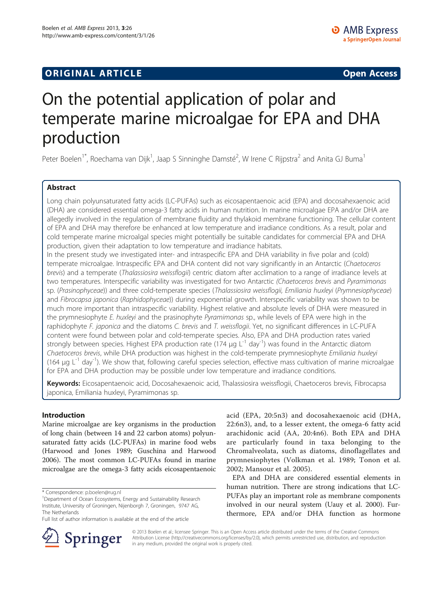## **ORIGINAL ARTICLE CONSUMING A LIGACION** CONSUMING A LIGACION CONSUMING A LIGACION CONSUMING A LIGACION CONSUMING A LIGACION CONSUMING A LIGACION CONSUMING A LIGACION CONSUMING A LIGACION CONSUMING A LIGACION CONSUMING A

# On the potential application of polar and temperate marine microalgae for EPA and DHA production

Peter Boelen<sup>1\*</sup>, Roechama van Dijk<sup>1</sup>, Jaap S Sinninghe Damsté<sup>2</sup>, W Irene C Rijpstra<sup>2</sup> and Anita GJ Buma<sup>1</sup>

## Abstract

Long chain polyunsaturated fatty acids (LC-PUFAs) such as eicosapentaenoic acid (EPA) and docosahexaenoic acid (DHA) are considered essential omega-3 fatty acids in human nutrition. In marine microalgae EPA and/or DHA are allegedly involved in the regulation of membrane fluidity and thylakoid membrane functioning. The cellular content of EPA and DHA may therefore be enhanced at low temperature and irradiance conditions. As a result, polar and cold temperate marine microalgal species might potentially be suitable candidates for commercial EPA and DHA production, given their adaptation to low temperature and irradiance habitats.

In the present study we investigated inter- and intraspecific EPA and DHA variability in five polar and (cold) temperate microalgae. Intraspecific EPA and DHA content did not vary significantly in an Antarctic (Chaetoceros brevis) and a temperate (Thalassiosira weissflogii) centric diatom after acclimation to a range of irradiance levels at two temperatures. Interspecific variability was investigated for two Antarctic (Chaetoceros brevis and Pyramimonas sp. (Prasinophyceae)) and three cold-temperate species (Thalassiosira weissflogii, Emiliania huxleyi (Prymnesiophyceae) and Fibrocapsa japonica (Raphidophyceae)) during exponential growth. Interspecific variability was shown to be much more important than intraspecific variability. Highest relative and absolute levels of DHA were measured in the prymnesiophyte E. huxleyi and the prasinophyte Pyramimonas sp., while levels of EPA were high in the raphidophyte F. japonica and the diatoms C. brevis and T. weissflogii. Yet, no significant differences in LC-PUFA content were found between polar and cold-temperate species. Also, EPA and DHA production rates varied strongly between species. Highest EPA production rate (174  $\mu$ g L<sup>-1</sup> day<sup>-1</sup>) was found in the Antarctic diatom Chaetoceros brevis, while DHA production was highest in the cold-temperate prymnesiophyte Emiliania huxleyi (164  $\mu$ g L<sup>-1</sup> day<sup>-1</sup>). We show that, following careful species selection, effective mass cultivation of marine microalgae for EPA and DHA production may be possible under low temperature and irradiance conditions.

Keywords: Eicosapentaenoic acid, Docosahexaenoic acid, Thalassiosira weissflogii, Chaetoceros brevis, Fibrocapsa japonica, Emiliania huxleyi, Pyramimonas sp.

### Introduction

Marine microalgae are key organisms in the production of long chain (between 14 and 22 carbon atoms) polyunsaturated fatty acids (LC-PUFAs) in marine food webs (Harwood and Jones [1989;](#page-7-0) Guschina and Harwood [2006](#page-7-0)). The most common LC-PUFAs found in marine microalgae are the omega-3 fatty acids eicosapentaenoic



EPA and DHA are considered essential elements in human nutrition. There are strong indications that LC-PUFAs play an important role as membrane components involved in our neural system (Uauy et al. [2000](#page-8-0)). Furthermore, EPA and/or DHA function as hormone



© 2013 Boelen et al.; licensee Springer. This is an Open Access article distributed under the terms of the Creative Commons Attribution License [\(http://creativecommons.org/licenses/by/2.0\)](http://creativecommons.org/licenses/by/2.0), which permits unrestricted use, distribution, and reproduction in any medium, provided the original work is properly cited.

<sup>\*</sup> Correspondence: [p.boelen@rug.nl](mailto:p.boelen@rug.nl) <sup>1</sup>

<sup>&</sup>lt;sup>1</sup>Department of Ocean Ecosystems, Energy and Sustainability Research Institute, University of Groningen, Nijenborgh 7, Groningen, 9747 AG, The Netherlands

Full list of author information is available at the end of the article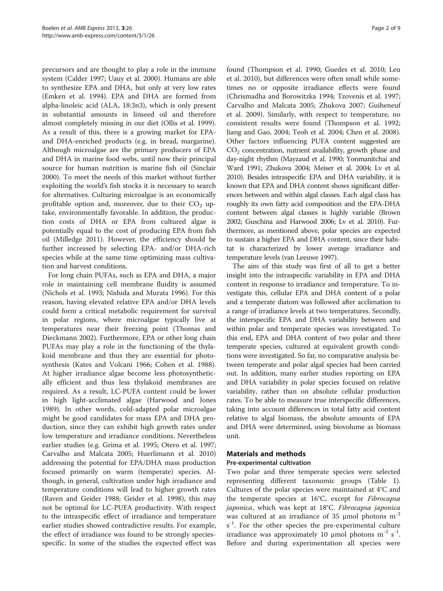precursors and are thought to play a role in the immune system (Calder [1997](#page-7-0); Uauy et al. [2000](#page-8-0)). Humans are able to synthesize EPA and DHA, but only at very low rates (Emken et al. [1994](#page-7-0)). EPA and DHA are formed from alpha-linoleic acid (ALA, 18:3n3), which is only present in substantial amounts in linseed oil and therefore almost completely missing in our diet (Ollis et al. [1999](#page-8-0)). As a result of this, there is a growing market for EPAand DHA-enriched products (e.g. in bread, margarine). Although microalgae are the primary producers of EPA and DHA in marine food webs, until now their principal source for human nutrition is marine fish oil (Sinclair [2000](#page-8-0)). To meet the needs of this market without further exploiting the world's fish stocks it is necessary to search for alternatives. Culturing microalgae is an economically profitable option and, moreover, due to their  $CO<sub>2</sub>$  uptake, environmentally favorable. In addition, the production costs of DHA or EPA from cultured algae is potentially equal to the cost of producing EPA from fish oil (Milledge [2011\)](#page-8-0). However, the efficiency should be further increased by selecting EPA- and/or DHA-rich species while at the same time optimizing mass cultivation and harvest conditions.

For long chain PUFAs, such as EPA and DHA, a major role in maintaining cell membrane fluidity is assumed (Nichols et al. [1993;](#page-8-0) Nishida and Murata [1996\)](#page-8-0). For this reason, having elevated relative EPA and/or DHA levels could form a critical metabolic requirement for survival in polar regions, where microalgae typically live at temperatures near their freezing point (Thomas and Dieckmann [2002](#page-8-0)). Furthermore, EPA or other long chain PUFAs may play a role in the functioning of the thylakoid membrane and thus they are essential for photosynthesis (Kates and Volcani [1966](#page-7-0); Cohen et al. [1988](#page-7-0)). At higher irradiance algae become less photosynthetically efficient and thus less thylakoid membranes are required. As a result, LC-PUFA content could be lower in high light-acclimated algae (Harwood and Jones [1989](#page-7-0)). In other words, cold-adapted polar microalgae might be good candidates for mass EPA and DHA production, since they can exhibit high growth rates under low temperature and irradiance conditions. Nevertheless earlier studies (e.g. Grima et al. [1995](#page-7-0); Otero et al. [1997](#page-8-0); Carvalho and Malcata [2005](#page-7-0); Huerlimann et al. [2010](#page-7-0)) addressing the potential for EPA/DHA mass production focused primarily on warm (temperate) species. Although, in general, cultivation under high irradiance and temperature conditions will lead to higher growth rates (Raven and Geider [1988](#page-8-0); Geider et al. [1998](#page-7-0)), this may not be optimal for LC-PUFA productivity. With respect to the intraspecific effect of irradiance and temperature earlier studies showed contradictive results. For example, the effect of irradiance was found to be strongly speciesspecific. In some of the studies the expected effect was found (Thompson et al. [1990](#page-8-0); Guedes et al. [2010;](#page-7-0) Leu et al. [2010\)](#page-8-0), but differences were often small while sometimes no or opposite irradiance effects were found (Chrismadha and Borowitzka [1994](#page-7-0); Tzovenis et al. [1997](#page-8-0); Carvalho and Malcata [2005](#page-7-0); Zhukova [2007](#page-8-0); Guiheneuf et al. [2009](#page-7-0)). Similarly, with respect to temperature, no consistent results were found (Thompson et al. [1992](#page-8-0); Jiang and Gao, [2004;](#page-7-0) Teoh et al. [2004](#page-8-0); Chen et al. [2008](#page-7-0)). Other factors influencing PUFA content suggested are CO2 concentration, nutrient availability, growth phase and day-night rhythm (Mayzaud et al. [1990;](#page-8-0) Yonmanitchai and Ward [1991;](#page-8-0) Zhukova [2004](#page-8-0); Meiser et al. [2004](#page-8-0); Lv et al. [2010\)](#page-8-0). Besides intraspecific EPA and DHA variability, it is known that EPA and DHA content shows significant differences between and within algal classes. Each algal class has roughly its own fatty acid composition and the EPA-DHA content between algal classes is highly variable (Brown [2002;](#page-7-0) Guschina and Harwood [2006;](#page-7-0) Lv et al. [2010](#page-8-0)). Furthermore, as mentioned above, polar species are expected to sustain a higher EPA and DHA content, since their habitat is characterized by lower average irradiance and temperature levels (van Leeuwe [1997\)](#page-8-0).

The aim of this study was first of all to get a better insight into the intraspecific variability in EPA and DHA content in response to irradiance and temperature. To investigate this, cellular EPA and DHA content of a polar and a temperate diatom was followed after acclimation to a range of irradiance levels at two temperatures. Secondly, the interspecific EPA and DHA variability between and within polar and temperate species was investigated. To this end, EPA and DHA content of two polar and three temperate species, cultured at equivalent growth conditions were investigated. So far, no comparative analysis between temperate and polar algal species had been carried out. In addition, many earlier studies reporting on EPA and DHA variability in polar species focused on relative variability, rather than on absolute cellular production rates. To be able to measure true interspecific differences, taking into account differences in total fatty acid content relative to algal biomass, the absolute amounts of EPA and DHA were determined, using biovolume as biomass unit.

#### Materials and methods

#### Pre-experimental cultivation

Two polar and three temperate species were selected representing different taxonomic groups (Table [1](#page-2-0)). Cultures of the polar species were maintained at 4°C and the temperate species at 16°C, except for Fibrocapsa japonica, which was kept at 18°C. Fibrocapsa japonica was cultured at an irradiance of 35  $\mu$ mol photons m<sup>-2</sup>  $s^{-1}$ . For the other species the pre-experimental culture irradiance was approximately 10  $\mu$ mol photons m<sup>-2</sup> s<sup>-1</sup>. Before and during experimentation all species were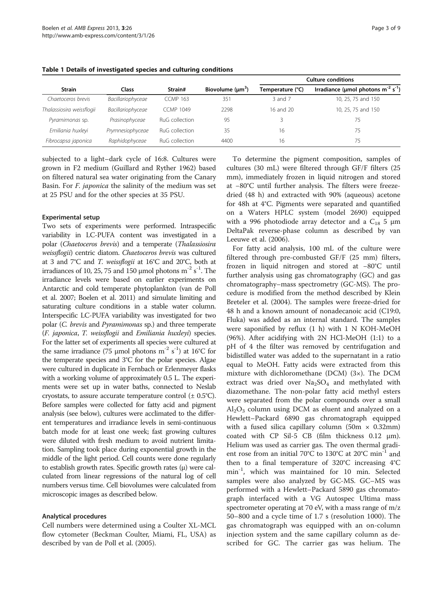|                           | Class             | Strain#          | Biovolume $(\mu m^3)$ | <b>Culture conditions</b> |                                                     |  |
|---------------------------|-------------------|------------------|-----------------------|---------------------------|-----------------------------------------------------|--|
| <b>Strain</b>             |                   |                  |                       | Temperature (°C)          | Irradiance (µmol photons $m^{-2}$ s <sup>-1</sup> ) |  |
| Chaetoceros brevis        | Bacillariophyceae | <b>CCMP 163</b>  | 351                   | 3 and 7                   | 10, 25, 75 and 150                                  |  |
| Thalassiosira weissflogii | Bacillariophyceae | <b>CCMP 1049</b> | 2298                  | 16 and 20                 | 10, 25, 75 and 150                                  |  |
| Pyramimonas sp.           | Prasinophyceae    | RuG collection   | 95                    |                           | 75                                                  |  |
| Emiliania huxleyi         | Prymnesiophyceae  | RuG collection   | 35                    | 16                        | 75                                                  |  |
| Fibrocapsa japonica       | Raphidophyceae    | RuG collection   | 4400                  | 16                        | 75                                                  |  |

<span id="page-2-0"></span>Table 1 Details of investigated species and culturing conditions

subjected to a light–dark cycle of 16:8. Cultures were grown in F2 medium (Guillard and Ryther [1962](#page-7-0)) based on filtered natural sea water originating from the Canary Basin. For F. japonica the salinity of the medium was set at 25 PSU and for the other species at 35 PSU.

#### Experimental setup

Two sets of experiments were performed. Intraspecific variability in LC-PUFA content was investigated in a polar (Chaetoceros brevis) and a temperate (Thalassiosira weissflogii) centric diatom. Chaetoceros brevis was cultured at 3 and 7°C and T. weissflogii at 16°C and 20°C, both at irradiances of 10, 25, 75 and 150 µmol photons  $m^{-2}$  s<sup>-1</sup>. The irradiance levels were based on earlier experiments on Antarctic and cold temperate phytoplankton (van de Poll et al. [2007](#page-8-0); Boelen et al. [2011\)](#page-7-0) and simulate limiting and saturating culture conditions in a stable water column. Interspecific LC-PUFA variability was investigated for two polar (C. brevis and Pyramimonas sp.) and three temperate (F. japonica, T. weissflogii and Emiliania huxleyi) species. For the latter set of experiments all species were cultured at the same irradiance (75 µmol photons  $m^{-2}$  s<sup>-1</sup>) at 16°C for the temperate species and 3°C for the polar species. Algae were cultured in duplicate in Fernbach or Erlenmeyer flasks with a working volume of approximately 0.5 L. The experiments were set up in water baths, connected to Neslab cryostats, to assure accurate temperature control  $(\pm 0.5^{\circ}C)$ . Before samples were collected for fatty acid and pigment analysis (see below), cultures were acclimated to the different temperatures and irradiance levels in semi-continuous batch mode for at least one week; fast growing cultures were diluted with fresh medium to avoid nutrient limitation. Sampling took place during exponential growth in the middle of the light period. Cell counts were done regularly to establish growth rates. Specific growth rates (μ) were calculated from linear regressions of the natural log of cell numbers versus time. Cell biovolumes were calculated from microscopic images as described below.

#### Analytical procedures

Cell numbers were determined using a Coulter XL-MCL flow cytometer (Beckman Coulter, Miami, FL, USA) as described by van de Poll et al. [\(2005\)](#page-8-0).

To determine the pigment composition, samples of cultures (30 mL) were filtered through GF/F filters (25 mm), immediately frozen in liquid nitrogen and stored at −80°C until further analysis. The filters were freezedried (48 h) and extracted with 90% (aqueous) acetone for 48h at 4°C. Pigments were separated and quantified on a Waters HPLC system (model 2690) equipped with a 996 photodiode array detector and a  $C_{18}$  5  $\mu$ m DeltaPak reverse-phase column as described by van Leeuwe et al. [\(2006\)](#page-8-0).

For fatty acid analysis, 100 mL of the culture were filtered through pre-combusted GF/F (25 mm) filters, frozen in liquid nitrogen and stored at −80°C until further analysis using gas chromatography (GC) and gas chromatography–mass spectrometry (GC-MS). The procedure is modified from the method described by Klein Breteler et al. [\(2004](#page-8-0)). The samples were freeze-dried for 48 h and a known amount of nonadecanoic acid (C19:0, Fluka) was added as an internal standard. The samples were saponified by reflux (1 h) with 1 N KOH-MeOH (96%). After acidifying with 2N HCl-MeOH (1:1) to a pH of 4 the filter was removed by centrifugation and bidistilled water was added to the supernatant in a ratio equal to MeOH. Fatty acids were extracted from this mixture with dichloromethane (DCM) (3×). The DCM extract was dried over  $Na<sub>2</sub>SO<sub>4</sub>$  and methylated with diazomethane. The non-polar fatty acid methyl esters were separated from the polar compounds over a small  $Al<sub>2</sub>O<sub>3</sub>$  column using DCM as eluent and analyzed on a Hewlett–Packard 6890 gas chromatograph equipped with a fused silica capillary column (50m  $\times$  0.32mm) coated with CP Sil-5 CB (film thickness 0.12 μm). Helium was used as carrier gas. The oven thermal gradient rose from an initial 70°C to 130°C at 20°C min<sup>-1</sup> and then to a final temperature of 320°C increasing 4°C min-1, which was maintained for 10 min. Selected samples were also analyzed by GC-MS. GC–MS was performed with a Hewlett–Packard 5890 gas chromatograph interfaced with a VG Autospec Ultima mass spectrometer operating at 70 eV, with a mass range of m/z 50–800 and a cycle time of 1.7 s (resolution 1000). The gas chromatograph was equipped with an on-column injection system and the same capillary column as described for GC. The carrier gas was helium. The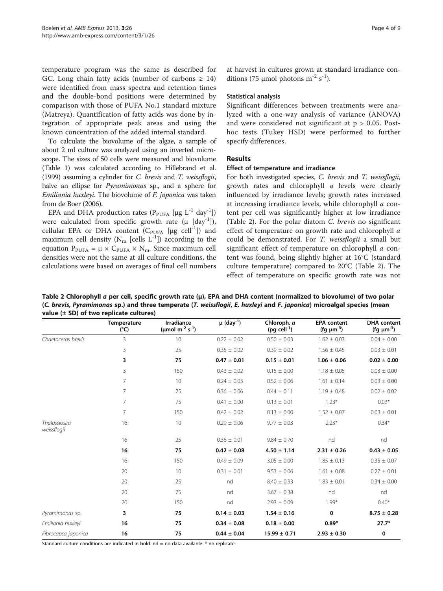<span id="page-3-0"></span>temperature program was the same as described for GC. Long chain fatty acids (number of carbons  $\geq$  14) were identified from mass spectra and retention times and the double-bond positions were determined by comparison with those of PUFA No.1 standard mixture (Matreya). Quantification of fatty acids was done by integration of appropriate peak areas and using the known concentration of the added internal standard.

To calculate the biovolume of the algae, a sample of about 2 ml culture was analyzed using an inverted microscope. The sizes of 50 cells were measured and biovolume (Table [1](#page-2-0)) was calculated according to Hillebrand et al. ([1999\)](#page-7-0) assuming a cylinder for C. brevis and T. weissflogii, halve an ellipse for *Pyramimonas* sp., and a sphere for Emiliania huxleyi. The biovolume of F. japonica was taken from de Boer [\(2006](#page-7-0)).

EPA and DHA production rates ( $P_{PUFA}$  [µg L<sup>-1</sup> day<sup>-1</sup>]) were calculated from specific growth rate  $(\mu$  [day<sup>-1</sup>]), cellular EPA or DHA content  $(C_{PUFA}$  [µg cell<sup>-1</sup>]) and maximum cell density  $(N_m$  [cells  $L^{-1}$ ]) according to the equation  $P_{PUFA} = \mu \times C_{PUFA} \times N_m$ . Since maximum cell densities were not the same at all culture conditions, the calculations were based on averages of final cell numbers at harvest in cultures grown at standard irradiance conditions (75 µmol photons  $m^{-2}$  s<sup>-1</sup>).

#### Statistical analysis

Significant differences between treatments were analyzed with a one-way analysis of variance (ANOVA) and were considered not significant at  $p > 0.05$ . Posthoc tests (Tukey HSD) were performed to further specify differences.

#### Results

#### Effect of temperature and irradiance

For both investigated species, C. brevis and T. weissflogii, growth rates and chlorophyll a levels were clearly influenced by irradiance levels; growth rates increased at increasing irradiance levels, while chlorophyll a content per cell was significantly higher at low irradiance (Table 2). For the polar diatom C. brevis no significant effect of temperature on growth rate and chlorophyll a could be demonstrated. For T. weissflogii a small but significant effect of temperature on chlorophyll a content was found, being slightly higher at 16°C (standard culture temperature) compared to 20°C (Table 2). The effect of temperature on specific growth rate was not

Table 2 Chlorophyll a per cell, specific growth rate (μ), EPA and DHA content (normalized to biovolume) of two polar (C. brevis, Pyramimonas sp.) and three temperate (T. weissflogii, E. huxleyi and F. japonica) microalgal species (mean value  $(\pm$  SD) of two replicate cultures)

|                                     | Temperature<br>$(^{\circ}C)$ | Irradiance<br>(µmol m <sup>-2</sup> s <sup>-1</sup> ) | $\mu$ (day <sup>-1</sup> ) | Chloroph. a<br>(pg cell $^{-1}$ ) | <b>EPA</b> content<br>(fg $\mu m^{-3}$ ) | <b>DHA</b> content<br>(fg $\mu$ m <sup>-3</sup> ) |
|-------------------------------------|------------------------------|-------------------------------------------------------|----------------------------|-----------------------------------|------------------------------------------|---------------------------------------------------|
| Chaetoceros brevis                  | 3                            | 10                                                    | $0.22 \pm 0.02$            | $0.50 \pm 0.03$                   | $1.62 \pm 0.03$                          | $0.04 \pm 0.00$                                   |
|                                     | 3                            | 25                                                    | $0.35 \pm 0.02$            | $0.39 \pm 0.02$                   | $1.56 \pm 0.45$                          | $0.03 \pm 0.01$                                   |
|                                     | 3                            | 75                                                    | $0.47 \pm 0.01$            | $0.15 \pm 0.01$                   | $1.06 \pm 0.06$                          | $0.02 \pm 0.00$                                   |
|                                     | 3                            | 150                                                   | $0.43 \pm 0.02$            | $0.15 \pm 0.00$                   | $1.18 \pm 0.05$                          | $0.03 \pm 0.00$                                   |
|                                     | $\overline{7}$               | 10                                                    | $0.24 \pm 0.03$            | $0.52 \pm 0.06$                   | $1.61 \pm 0.14$                          | $0.03 \pm 0.00$                                   |
|                                     | 7                            | 25                                                    | $0.36 \pm 0.06$            | $0.44 \pm 0.11$                   | $1.19 \pm 0.48$                          | $0.02 \pm 0.02$                                   |
|                                     | 7                            | 75                                                    | $0.41 \pm 0.00$            | $0.13 \pm 0.01$                   | $1.23*$                                  | $0.03*$                                           |
|                                     | 7                            | 150                                                   | $0.42 \pm 0.02$            | $0.13 \pm 0.00$                   | $1.52 \pm 0.07$                          | $0.03 \pm 0.01$                                   |
| <b>Thalassiosira</b><br>weissflogii | 16                           | 10                                                    | $0.29 \pm 0.06$            | $9.77 \pm 0.03$                   | $2.23*$                                  | $0.34*$                                           |
|                                     | 16                           | 25                                                    | $0.36 \pm 0.01$            | $9.84 \pm 0.70$                   | nd                                       | nd                                                |
|                                     | 16                           | 75                                                    | $0.42 \pm 0.08$            | $4.50 \pm 1.14$                   | $2.31 \pm 0.26$                          | $0.43 \pm 0.05$                                   |
|                                     | 16                           | 150                                                   | $0.49 \pm 0.09$            | $3.05 \pm 0.00$                   | $1.85 \pm 0.13$                          | $0.35 \pm 0.07$                                   |
|                                     | 20                           | 10                                                    | $0.31 \pm 0.01$            | $9.53 \pm 0.06$                   | $1.61 \pm 0.08$                          | $0.27 \pm 0.01$                                   |
|                                     | 20                           | 25                                                    | nd                         | $8.40 \pm 0.33$                   | $1.83 \pm 0.01$                          | $0.34 \pm 0.00$                                   |
|                                     | 20                           | 75                                                    | nd                         | $3.67 \pm 0.38$                   | nd                                       | nd                                                |
|                                     | 20                           | 150                                                   | nd                         | $2.93 \pm 0.09$                   | $1.99*$                                  | $0.40*$                                           |
| Pyramimonas sp.                     | 3                            | 75                                                    | $0.14 \pm 0.03$            | $1.54 \pm 0.16$                   | 0                                        | $8.75 \pm 0.28$                                   |
| Emiliania huxleyi                   | 16                           | 75                                                    | $0.34 \pm 0.08$            | $0.18 \pm 0.00$                   | $0.89*$                                  | $27.7*$                                           |
| Fibrocapsa japonica                 | 16                           | 75                                                    | $0.44 \pm 0.04$            | $15.99 \pm 0.71$                  | $2.93 \pm 0.30$                          | 0                                                 |

Standard culture conditions are indicated in bold.  $nd = no$  data available.  $*$  no replicate.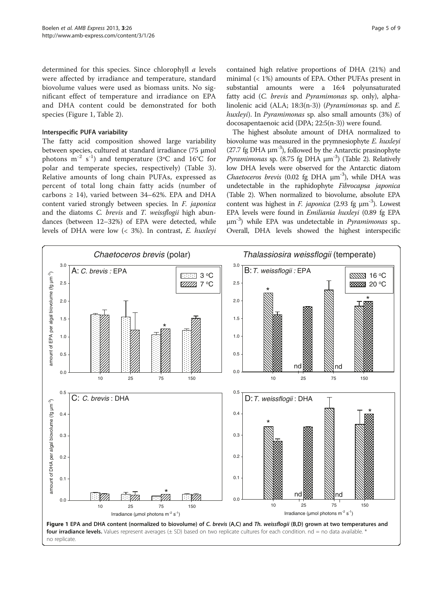determined for this species. Since chlorophyll a levels were affected by irradiance and temperature, standard biovolume values were used as biomass units. No significant effect of temperature and irradiance on EPA and DHA content could be demonstrated for both species (Figure 1, Table [2](#page-3-0)).

#### Interspecific PUFA variability

The fatty acid composition showed large variability between species, cultured at standard irradiance (75 μmol photons  $m^{-2}$  s<sup>-1</sup>) and temperature (3°C and 16°C for polar and temperate species, respectively) (Table [3](#page-5-0)). Relative amounts of long chain PUFAs, expressed as percent of total long chain fatty acids (number of carbons  $\geq$  14), varied between 34–62%. EPA and DHA content varied strongly between species. In F. japonica and the diatoms C. brevis and T. weissflogii high abundances (between 12–32%) of EPA were detected, while levels of DHA were low (< 3%). In contrast, E. huxleyi

contained high relative proportions of DHA (21%) and minimal (< 1%) amounts of EPA. Other PUFAs present in substantial amounts were a 16:4 polyunsaturated fatty acid (C. brevis and Pyramimonas sp. only), alphalinolenic acid (ALA; 18:3(n-3)) (Pyramimonas sp. and E. huxleyi). In Pyramimonas sp. also small amounts (3%) of docosapentaenoic acid (DPA; 22:5(n-3)) were found.

The highest absolute amount of DHA normalized to biovolume was measured in the prymnesiophyte E. huxleyi (27.7 fg DHA  $\mu$ m<sup>-3</sup>), followed by the Antarctic prasinophyte *Pyramimonas* sp. (8.75 fg DHA  $\mu$ m<sup>-3</sup>) (Table [2\)](#page-3-0). Relatively low DHA levels were observed for the Antarctic diatom Chaetoceros brevis  $(0.02 \text{ fg } DHA \mu m^{-3})$ , while DHA was undetectable in the raphidophyte Fibrocapsa japonica (Table [2](#page-3-0)). When normalized to biovolume, absolute EPA content was highest in *F. japonica* (2.93 fg  $\mu$ m<sup>-3</sup>). Lowest EPA levels were found in Emiliania huxleyi (0.89 fg EPA  $\mu$ m<sup>-3</sup>) while EPA was undetectable in *Pyramimonas* sp.. Overall, DHA levels showed the highest interspecific

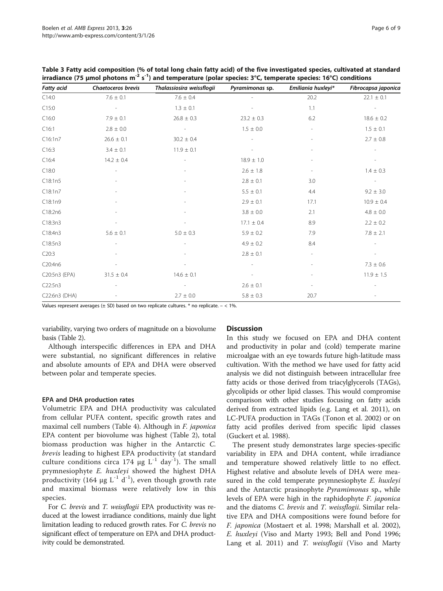| <b>Fatty acid</b> | <b>Chaetoceros brevis</b> | Thalassiosira weissflogii | Pyramimonas sp. | Emiliania huxleyi*       | Fibrocapsa japonica      |
|-------------------|---------------------------|---------------------------|-----------------|--------------------------|--------------------------|
| C14:0             | $7.6 \pm 0.1$             | $7.6\,\pm\,0.4$           |                 | 20.2                     | $22.1 \pm 0.1$           |
| C15:0             |                           | $1.3 \pm 0.1$             |                 | 1.1                      |                          |
| C16:0             | $7.9 \pm 0.1$             | $26.8 \pm 0.3$            | $23.2 \pm 0.3$  | 6.2                      | $18.6 \pm 0.2$           |
| C16:1             | $2.8 \pm 0.0$             | $\overline{\phantom{a}}$  | $1.5 \pm 0.0$   | $\overline{\phantom{a}}$ | $1.5 \pm 0.1$            |
| C16:1n7           | $26.6 \pm 0.1$            | $30.2 \pm 0.4$            |                 | $\overline{\phantom{m}}$ | $2.7 \pm 0.8$            |
| C16:3             | $3.4 \pm 0.1$             | $11.9 \pm 0.1$            |                 | $\overline{\phantom{a}}$ | ٠                        |
| C16:4             | $14.2 \pm 0.4$            | $\overline{\phantom{a}}$  | $18.9 \pm 1.0$  |                          |                          |
| C18:0             |                           |                           | $2.6 \pm 1.8$   | $\sim$                   | $1.4 \pm 0.3$            |
| C18:1n5           |                           |                           | $2.8 \pm 0.1$   | 3.0                      | $\overline{\phantom{a}}$ |
| C18:1n7           |                           |                           | $5.5 \pm 0.1$   | 4.4                      | $9.2 \pm 3.0$            |
| C18:1n9           |                           |                           | $2.9 \pm 0.1$   | 17.1                     | $10.9 \pm 0.4$           |
| C18:2n6           |                           |                           | $3.8 \pm 0.0$   | 2.1                      | $4.8 \pm 0.0$            |
| C18:3n3           |                           |                           | $17.1 \pm 0.4$  | 8.9                      | $2.2 \pm 0.2$            |
| C18:4n3           | $5.6 \pm 0.1$             | $5.0 \pm 0.3$             | $5.9 \pm 0.2$   | 7.9                      | $7.8 \pm 2.1$            |
| C18:5n3           |                           |                           | $4.9 \pm 0.2$   | 8.4                      |                          |
| C20:3             |                           |                           | $2.8 \pm 0.1$   | $\overline{\phantom{a}}$ | $\overline{\phantom{a}}$ |
| C20:4n6           |                           |                           |                 | ٠                        | $7.3 \pm 0.6$            |
| C20:5n3 (EPA)     | $31.5 \pm 0.4$            | $14.6 \pm 0.1$            |                 | ٠                        | $11.9 \pm 1.5$           |
| C22:5n3           |                           |                           | $2.6 \pm 0.1$   | $\overline{\phantom{m}}$ |                          |
| C22:6n3 (DHA)     |                           | $2.7 \pm 0.0$             | $5.8 \pm 0.3$   | 20.7                     |                          |

<span id="page-5-0"></span>Table 3 Fatty acid composition (% of total long chain fatty acid) of the five investigated species, cultivated at standard irradiance (75 μmol photons m<sup>-2</sup> s<sup>-1</sup>) and temperature (polar species: 3°C, temperate species: 16°C) conditions

Values represent averages ( $\pm$  SD) based on two replicate cultures. \* no replicate.  $-$  < 1%.

variability, varying two orders of magnitude on a biovolume basis (Table [2\)](#page-3-0).

Although interspecific differences in EPA and DHA were substantial, no significant differences in relative and absolute amounts of EPA and DHA were observed between polar and temperate species.

#### EPA and DHA production rates

Volumetric EPA and DHA productivity was calculated from cellular PUFA content, specific growth rates and maximal cell numbers (Table [4](#page-6-0)). Although in F. japonica EPA content per biovolume was highest (Table [2\)](#page-3-0), total biomass production was higher in the Antarctic C. brevis leading to highest EPA productivity (at standard culture conditions circa 174 μg  $L^{-1}$  day<sup>-1</sup>). The small prymnesiophyte E. huxleyi showed the highest DHA productivity (164  $\mu$ g L<sup>-1</sup> d<sup>-1</sup>), even though growth rate and maximal biomass were relatively low in this species.

For C. brevis and T. weissflogii EPA productivity was reduced at the lowest irradiance conditions, mainly due light limitation leading to reduced growth rates. For C. brevis no significant effect of temperature on EPA and DHA productivity could be demonstrated.

#### **Discussion**

In this study we focused on EPA and DHA content and productivity in polar and (cold) temperate marine microalgae with an eye towards future high-latitude mass cultivation. With the method we have used for fatty acid analysis we did not distinguish between intracellular free fatty acids or those derived from triacylglycerols (TAGs), glycolipids or other lipid classes. This would compromise comparison with other studies focusing on fatty acids derived from extracted lipids (e.g. Lang et al. [2011\)](#page-8-0), on LC-PUFA production in TAGs (Tonon et al. [2002\)](#page-8-0) or on fatty acid profiles derived from specific lipid classes (Guckert et al. [1988](#page-7-0)).

The present study demonstrates large species-specific variability in EPA and DHA content, while irradiance and temperature showed relatively little to no effect. Highest relative and absolute levels of DHA were measured in the cold temperate prymnesiophyte E. huxleyi and the Antarctic prasinophyte *Pyramimonas* sp., while levels of EPA were high in the raphidophyte F. japonica and the diatoms *C. brevis* and *T. weissflogii*. Similar relative EPA and DHA compositions were found before for F. japonica (Mostaert et al. [1998](#page-8-0); Marshall et al. [2002](#page-8-0)), E. huxleyi (Viso and Marty [1993](#page-8-0); Bell and Pond [1996](#page-7-0); Lang et al. [2011\)](#page-8-0) and T. weissflogii (Viso and Marty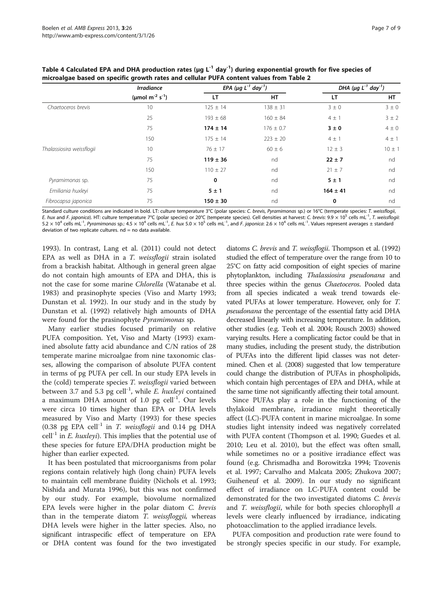|                           | <b>Irradiance</b>                       | EPA ( $\mu$ g L <sup>-1</sup> day <sup>-1</sup> ) |               | DHA ( $\mu$ g L <sup>-1</sup> day <sup>-1</sup> ) |            |
|---------------------------|-----------------------------------------|---------------------------------------------------|---------------|---------------------------------------------------|------------|
|                           | (µmol m <sup>-2</sup> s <sup>-1</sup> ) | LT                                                | HT            | LT                                                | HT         |
| Chaetoceros brevis        | 10                                      | $125 \pm 14$                                      | $138 \pm 31$  | $3 \pm 0$                                         | $3 \pm 0$  |
|                           | 25                                      | $193 \pm 68$                                      | $160 \pm 84$  | $4 \pm 1$                                         | $3 \pm 2$  |
|                           | 75                                      | $174 \pm 14$                                      | $176 \pm 0.7$ | $3 \pm 0$                                         | $4 \pm 0$  |
|                           | 150                                     | $175 \pm 14$                                      | $223 \pm 20$  | $4 \pm 1$                                         | $4 \pm 1$  |
| Thalassiosira weissflogii | 10                                      | $76 \pm 17$                                       | $60 \pm 6$    | $12 \pm 3$                                        | $10 \pm 1$ |
|                           | 75                                      | $119 \pm 36$                                      | nd            | $22 \pm 7$                                        | nd         |
|                           | 150                                     | $110 \pm 27$                                      | nd            | $21 \pm 7$                                        | nd         |
| Pyramimonas sp.           | 75                                      | 0                                                 | nd            | 5±1                                               | nd         |
| Emiliania huxleyi         | 75                                      | 5±1                                               | nd            | $164 \pm 41$                                      | nd         |
| Fibrocapsa japonica       | 75                                      | $150 \pm 30$                                      | nd            | 0                                                 | nd         |

<span id="page-6-0"></span>Table 4 Calculated EPA and DHA production rates ( $\mu$ g L<sup>-1</sup> day<sup>-1</sup>) during exponential growth for five species of microalgae based on specific growth rates and cellular PUFA content values from Table [2](#page-3-0)

Standard culture conditions are indicated in bold. LT: culture temperature 3°C (polar species: C. brevis, Pyramimonas sp.) or 16°C (temperate species: T. weissflogii, E. hux and F. japonica). HT: culture temperature 7°C (polar species) or 20°C (temperate species). Cell densities at harvest: C. brevis: 9.9 × 10<sup>5</sup> cells mL<sup>-1</sup>, T. weissflogii:  $5.2 \times 10^4$  cells mL<sup>-1</sup>, Pyramimonas sp.: 4.5  $\times$  10<sup>4</sup> cells mL<sup>-1</sup>, E. hux 5.0  $\times$  10<sup>5</sup> cells mL<sup>-1</sup>, and F. japonica: 2.6  $\times$  10<sup>4</sup> cells mL<sup>-1</sup>. Values represent averages ± standard deviation of two replicate cultures.  $nd = no$  data available.

[1993](#page-8-0)). In contrast, Lang et al. [\(2011\)](#page-8-0) could not detect EPA as well as DHA in a T. weissflogii strain isolated from a brackish habitat. Although in general green algae do not contain high amounts of EPA and DHA, this is not the case for some marine Chlorella (Watanabe et al. [1983](#page-8-0)) and prasinophyte species (Viso and Marty [1993](#page-8-0); Dunstan et al. [1992](#page-7-0)). In our study and in the study by Dunstan et al. ([1992\)](#page-7-0) relatively high amounts of DHA were found for the prasinophyte Pyramimonas sp.

Many earlier studies focused primarily on relative PUFA composition. Yet, Viso and Marty ([1993](#page-8-0)) examined absolute fatty acid abundance and C/N ratios of 28 temperate marine microalgae from nine taxonomic classes, allowing the comparison of absolute PUFA content in terms of pg PUFA per cell. In our study EPA levels in the (cold) temperate species T. weissflogii varied between between 3.7 and 5.3 pg cell<sup>-1</sup>, while *E. huxleyi* contained a maximum DHA amount of 1.0 pg cell $^{-1}$ . Our levels were circa 10 times higher than EPA or DHA levels measured by Viso and Marty ([1993](#page-8-0)) for these species (0.38 pg EPA cell<sup>-1</sup> in  $T$ . weissflogii and 0.14 pg DHA cell<sup>-1</sup> in *E. huxleyi*). This implies that the potential use of these species for future EPA/DHA production might be higher than earlier expected.

It has been postulated that microorganisms from polar regions contain relatively high (long chain) PUFA levels to maintain cell membrane fluidity (Nichols et al. [1993](#page-8-0); Nishida and Murata [1996](#page-8-0)), but this was not confirmed by our study. For example, biovolume normalized EPA levels were higher in the polar diatom C. brevis than in the temperate diatom  $T$ . weissfloggii, whereas DHA levels were higher in the latter species. Also, no significant intraspecific effect of temperature on EPA or DHA content was found for the two investigated diatoms C. brevis and T. weissflogii. Thompson et al. ([1992](#page-8-0)) studied the effect of temperature over the range from 10 to 25°C on fatty acid composition of eight species of marine phytoplankton, including Thalassiosira pseudonana and three species within the genus Chaetoceros. Pooled data from all species indicated a weak trend towards elevated PUFAs at lower temperature. However, only for T. pseudonana the percentage of the essential fatty acid DHA decreased linearly with increasing temperature. In addition, other studies (e.g. Teoh et al. [2004](#page-8-0); Rousch [2003](#page-8-0)) showed varying results. Here a complicating factor could be that in many studies, including the present study, the distribution of PUFAs into the different lipid classes was not determined. Chen et al. [\(2008](#page-7-0)) suggested that low temperature could change the distribution of PUFAs in phospholipids, which contain high percentages of EPA and DHA, while at the same time not significantly affecting their total amount.

Since PUFAs play a role in the functioning of the thylakoid membrane, irradiance might theoretically affect (LC)-PUFA content in marine microalgae. In some studies light intensity indeed was negatively correlated with PUFA content (Thompson et al. [1990](#page-8-0); Guedes et al. [2010](#page-7-0); Leu et al. [2010\)](#page-8-0), but the effect was often small, while sometimes no or a positive irradiance effect was found (e.g. Chrismadha and Borowitzka [1994](#page-7-0); Tzovenis et al. [1997;](#page-8-0) Carvalho and Malcata [2005;](#page-7-0) Zhukova [2007](#page-8-0); Guiheneuf et al. [2009](#page-7-0)). In our study no significant effect of irradiance on LC-PUFA content could be demonstrated for the two investigated diatoms C. brevis and *T. weissflogii*, while for both species chlorophyll *a* levels were clearly influenced by irradiance, indicating photoacclimation to the applied irradiance levels.

PUFA composition and production rate were found to be strongly species specific in our study. For example,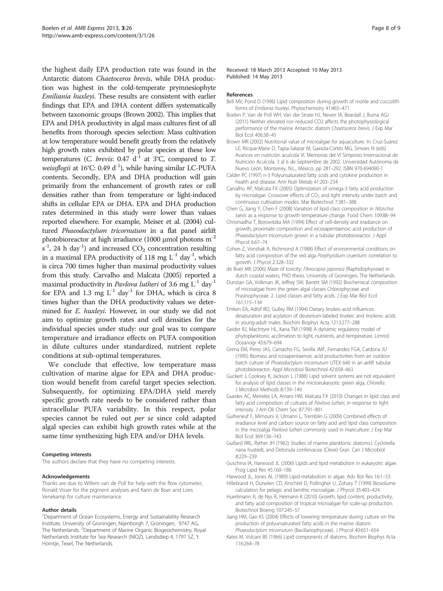<span id="page-7-0"></span>the highest daily EPA production rate was found in the Antarctic diatom Chaetoceros brevis, while DHA production was highest in the cold-temperate prymnesiophyte Emiliania huxleyi. These results are consistent with earlier findings that EPA and DHA content differs systematically between taxonomic groups (Brown 2002). This implies that EPA and DHA productivity in algal mass cultures first of all benefits from thorough species selection: Mass cultivation at low temperature would benefit greatly from the relatively high growth rates exhibited by polar species at these low temperatures (*C. brevis*: 0.47  $d^{-1}$  at 3°C, compared to *T.* weissflogii at  $16^{\circ}$ C: 0.49 d<sup>-1</sup>), while having similar LC-PUFA contents. Secondly, EPA and DHA production will gain primarily from the enhancement of growth rates or cell densities rather than from temperature or light-induced shifts in cellular EPA or DHA. EPA and DHA production rates determined in this study were lower than values reported elsewhere. For example, Meiser et al. ([2004\)](#page-8-0) cultured Phaeodactylum tricornutum in a flat panel airlift photobioreactor at high irradiance (1000 μmol photons m<sup>-2</sup>  $s^{-1}$ , 24 h day<sup>-1</sup>) and increased  $CO_2$  concentration resulting in a maximal EPA productivity of 118 mg  $L^{-1}$  day<sup>-1</sup>, which is circa 700 times higher than maximal productivity values from this study. Carvalho and Malcata (2005) reported a maximal productivity in *Pavlova lutheri* of 3.6 mg  $L^{-1}$  day<sup>-1</sup> for EPA and 1.3 mg  $L^{-1}$  day<sup>-1</sup> for DHA, which is circa 8 times higher than the DHA productivity values we determined for E. huxleyi. However, in our study we did not aim to optimize growth rates and cell densities for the individual species under study: our goal was to compare temperature and irradiance effects on PUFA composition in dilute cultures under standardized, nutrient replete conditions at sub-optimal temperatures.

We conclude that effective, low temperature mass cultivation of marine algae for EPA and DHA production would benefit from careful target species selection. Subsequently, for optimizing EPA/DHA yield merely specific growth rate needs to be considered rather than intracellular PUFA variability. In this respect, polar species cannot be ruled out per se since cold adapted algal species can exhibit high growth rates while at the same time synthesizing high EPA and/or DHA levels.

#### Competing interests

The authors declare that they have no competing interests.

#### Acknowledgements

Thanks are due to Willem van de Poll for help with the flow cytometer, Ronald Visser for the pigment analyses and Karin de Boer and Loes Venekamp for culture maintenance.

#### Author details

<sup>1</sup>Department of Ocean Ecosystems, Energy and Sustainability Research Institute, University of Groningen, Nijenborgh 7, Groningen, 9747 AG, The Netherlands. <sup>2</sup>Department of Marine Organic Biogeochemistry, Royal Netherlands Institute for Sea Research (NIOZ), Landsdiep 4, 1797 SZ, 't Horntje, Texel, The Netherlands.

Received: 18 March 2013 Accepted: 10 May 2013 Published: 14 May 2013

#### References

- Bell MV, Pond D (1996) Lipid composition during growth of motile and coccolith forms of Emiliania huxleyi. Phytochemistry 41:465–471
- Boelen P, Van de Poll WH, Van der Strate HJ, Neven IA, Beardall J, Buma AGJ (2011) Neither elevated nor reduced CO2 affects the photophysiological performance of the marine Antarctic diatom Chaetoceros brevis. J Exp Mar Biol Ecol 406:38–45
- Brown MR (2002) Nutritional value of microalgae for aquaculture. In: Cruz-Suárez LE, Ricque-Marie D, Tapia-Salazar M, Gaxiola-Cortés MG, Simoes N (eds) Avances en nutrición acuícola VI. Memorias del VI Simposio Internacional de Nutrición Acuícola. 3 al 6 de Septiembre de 2002. Universidad Autónoma de Nuevo León, Monterrey, N.L., México, pp 281–292. ISBN 970-694090-1
- Calder PC (1997) n-3 Polyunsaturated fatty scids and cytokine production in health and disease. Ann Nutr Metab 41:203–234
- Carvalho AP, Malcata FX (2005) Optimization of omega-3 fatty acid production by microalgae: Crossover effects of CO<sub>2</sub> and light intensity under batch and continuous cultivation modes. Mar Biotechnol 7:381–388
- Chen G, Jiang Y, Chen F (2008) Variation of lipid class composition in Nitzschia laevis as a response to growth temperature change. Food Chem 109:88–94
- Chrismadha T, Borowitzka MA (1994) Effect of cell-density and irradiance on growth, proximate composition and eicosapentaenoic acid production of Phaeodactylum tricornutum grown in a tubular photobioreactor. J Appl Phycol 6:67–74
- Cohen Z, Vonshak A, Richmond A (1988) Effect of environmental conditions on fatty acid composition of the red alga Porphyridium cruentum: correlation to growth. J Phycol 2:328–332
- de Boer MK (2006) Maze of toxicity: Fibrocapsa japonica (Raphidophyceae) in dutch coastal waters, PhD thesis. University of Groningen, The Netherlands
- Dunstan GA, Volkman JK, Jeffrey SW, Barrett SM (1992) Biochemical composition of microalgae from the green algal classes Chlorophyceae and
- Prasinophyceae. 2. Lipid classes and fatty acids. J Exp Mar Biol Ecol 161:115–134
- Emken EA, Adlof RO, Gulley RM (1994) Dietary linoleic-acid influences desaturation and acylation of deuterium-labeled linoleic and linolenic acids in young-adult males. Biochim Biophys Acta 1213:277–288
- Geider RJ, MacIntyre HL, Kana TM (1998) A dynamic regulatory model of phytoplanktonic acclimation to light, nutrients, and temperature. Limnol Oceanogr 43:679–694
- Grima EM, Perez JAS, Camacho FG, Sevilla JMF, Fernandez FGA, Cardona JU (1995) Biomass and icosapentaenoic acid productivities from an outdoor batch culture of Phaeodactylum tricornutum UTEX 640 in an airlift tubular photobioreactor. Appl Microbiol Biotechnol 42:658–663
- Guckert J, Cooksey K, Jackson L (1988) Lipid solvent systems are not equivalent for analysis of lipid classes in the microeukaryotic green alga, Chlorella. J Microbiol Methods 8:139–149
- Guedes AC, Meireles LA, Amaro HM, Malcata FX (2010) Changes in lipid class and fatty acid composition of cultures of Pavlova lutheri, in response to light intensity. J Am Oil Chem Soc 87:791–801
- Guiheneuf F, Mimouni V, Ulmann L, Tremblin G (2009) Combined effects of irradiance level and carbon source on fatty acid and lipid class composition in the microalga Pavlova lutheri commonly used in mariculture. J Exp Mar Biol Ecol 369:136–143
- Guillard RRL, Ryther JH (1962) Studies of marine planktonic diatoms.I. Cyclotella nana hustedt, and Detonula confervacea (Cleve) Gran. Can J Microbiol 8:229–239
- Guschina IA, Harwood JL (2006) Lipids and lipid metabolism in eukaryotic algae. Prog Lipid Res 45:160–186
- Harwood JL, Jones AL (1989) Lipid-metabolism in algae. Adv Bot Res 16:1–53
- Hillebrand H, Durselen CD, Kirschtel D, Pollingher U, Zohary T (1999) Biovolume calculation for pelagic and benthic microalgae. J Phycol 35:403–424
- Huerlimann R, de Nys R, Heimann K (2010) Growth, lipid content, productivity, and fatty acid composition of tropical microalgae for scale-up production. Biotechnol Bioeng 107:245–57
- Jiang HM, Gao KS (2004) Effects of lowering temperature during culture on the production of polyunsaturated fatty acids in the marine diatom Phaeodactylum tricornutum (Bacillariophyceae). J Phycol 40:651–654
- Kates M, Volcani BE (1966) Lipid components of diatoms. Biochim Biophys Acta 116:264–78